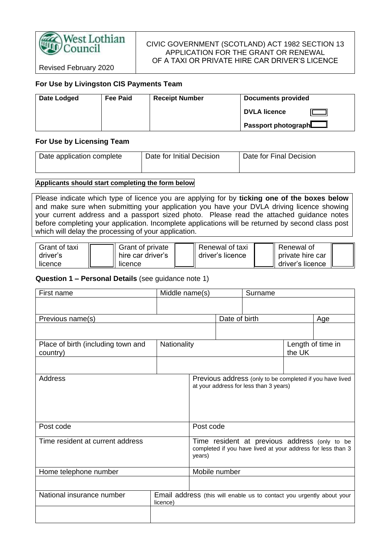

## CIVIC GOVERNMENT (SCOTLAND) ACT 1982 SECTION 13 APPLICATION FOR THE GRANT OR RENEWAL OF A TAXI OR PRIVATE HIRE CAR DRIVER'S LICENCE

Revised February 2020

# **For Use by Livingston CIS Payments Team**

| Date Lodged | <b>Fee Paid</b> | <b>Receipt Number</b> | <b>Documents provided</b>                |
|-------------|-----------------|-----------------------|------------------------------------------|
|             |                 |                       | <b>DVLA licence</b><br>$^{\prime\prime}$ |
|             |                 |                       | Passport photograph $\Box$               |

### **For Use by Licensing Team**

| Date application complete | Date for Initial Decision | Date for Final Decision |
|---------------------------|---------------------------|-------------------------|
|                           |                           |                         |

### **Applicants should start completing the form below**

Please indicate which type of licence you are applying for by **ticking one of the boxes below** and make sure when submitting your application you have your DVLA driving licence showing your current address and a passport sized photo. Please read the attached guidance notes before completing your application. Incomplete applications will be returned by second class post which will delay the processing of your application.

| Grant of taxi | Grant of private  | ∥ Renewal of taxi  | Renewal of           |  |
|---------------|-------------------|--------------------|----------------------|--|
| driver's      | hire car driver's | ∥ driver's licence | Il private hire car  |  |
| licence       | licence           |                    | II driver's licence. |  |

## **Question 1 – Personal Details** (see guidance note 1)

| First name                                     | Middle name(s) | Surname                                                                                                                |               |                                                                                                    |        |                   |
|------------------------------------------------|----------------|------------------------------------------------------------------------------------------------------------------------|---------------|----------------------------------------------------------------------------------------------------|--------|-------------------|
|                                                |                |                                                                                                                        |               |                                                                                                    |        |                   |
| Previous name(s)                               |                |                                                                                                                        | Date of birth |                                                                                                    |        | Age               |
|                                                |                |                                                                                                                        |               |                                                                                                    |        |                   |
|                                                |                |                                                                                                                        |               |                                                                                                    |        |                   |
| Place of birth (including town and<br>country) | Nationality    |                                                                                                                        |               |                                                                                                    | the UK | Length of time in |
|                                                |                |                                                                                                                        |               |                                                                                                    |        |                   |
| Address                                        |                |                                                                                                                        |               | Previous address (only to be completed if you have lived<br>at your address for less than 3 years) |        |                   |
| Post code                                      |                | Post code                                                                                                              |               |                                                                                                    |        |                   |
| Time resident at current address               |                | Time resident at previous address (only to be<br>completed if you have lived at your address for less than 3<br>years) |               |                                                                                                    |        |                   |
| Home telephone number                          |                | Mobile number                                                                                                          |               |                                                                                                    |        |                   |
|                                                |                |                                                                                                                        |               |                                                                                                    |        |                   |
| National insurance number                      | licence)       |                                                                                                                        |               | Email address (this will enable us to contact you urgently about your                              |        |                   |
|                                                |                |                                                                                                                        |               |                                                                                                    |        |                   |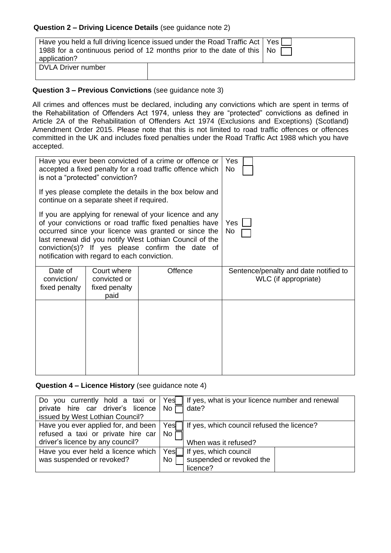# **Question 2 – Driving Licence Details** (see guidance note 2)

| Have you held a full driving licence issued under the Road Traffic Act   Yes  <br>1988 for a continuous period of 12 months prior to the date of this $\sqrt{N}$<br>application? |  |  |
|----------------------------------------------------------------------------------------------------------------------------------------------------------------------------------|--|--|
| <b>DVLA Driver number</b>                                                                                                                                                        |  |  |

# **Question 3 – Previous Convictions** (see guidance note 3)

All crimes and offences must be declared, including any convictions which are spent in terms of the Rehabilitation of Offenders Act 1974, unless they are "protected" convictions as defined in Article 2A of the Rehabilitation of Offenders Act 1974 (Exclusions and Exceptions) (Scotland) Amendment Order 2015. Please note that this is not limited to road traffic offences or offences committed in the UK and includes fixed penalties under the Road Traffic Act 1988 which you have accepted.

| Have you ever been convicted of a crime or offence or<br>accepted a fixed penalty for a road traffic offence which<br>is not a "protected" conviction?                                                                                                                                                                                     |                                                                 |  | Yes<br>No.                                                    |
|--------------------------------------------------------------------------------------------------------------------------------------------------------------------------------------------------------------------------------------------------------------------------------------------------------------------------------------------|-----------------------------------------------------------------|--|---------------------------------------------------------------|
| If yes please complete the details in the box below and<br>continue on a separate sheet if required.                                                                                                                                                                                                                                       |                                                                 |  |                                                               |
| If you are applying for renewal of your licence and any<br>of your convictions or road traffic fixed penalties have<br>occurred since your licence was granted or since the<br>last renewal did you notify West Lothian Council of the<br>conviction(s)? If yes please confirm the date of<br>notification with regard to each conviction. |                                                                 |  | Yes I<br>No                                                   |
| Date of<br>conviction/<br>fixed penalty                                                                                                                                                                                                                                                                                                    | Offence<br>Court where<br>convicted or<br>fixed penalty<br>paid |  | Sentence/penalty and date notified to<br>WLC (if appropriate) |
|                                                                                                                                                                                                                                                                                                                                            |                                                                 |  |                                                               |

# **Question 4 – Licence History** (see guidance note 4)

|                                          |      | Do you currently hold a taxi or $\vert$ Yes $\vert$ If yes, what is your licence number and renewal |
|------------------------------------------|------|-----------------------------------------------------------------------------------------------------|
| private hire car driver's licence $\log$ |      | date?                                                                                               |
| issued by West Lothian Council?          |      |                                                                                                     |
| Have you ever applied for, and been      | Yesl | If yes, which council refused the licence?                                                          |
| refused a taxi or private hire car       | No   |                                                                                                     |
| driver's licence by any council?         |      | When was it refused?                                                                                |
| Have you ever held a licence which       |      | $\sqrt{\frac{1}{100}}$ If yes, which council                                                        |
| was suspended or revoked?                |      | suspended or revoked the                                                                            |
|                                          |      | licence?                                                                                            |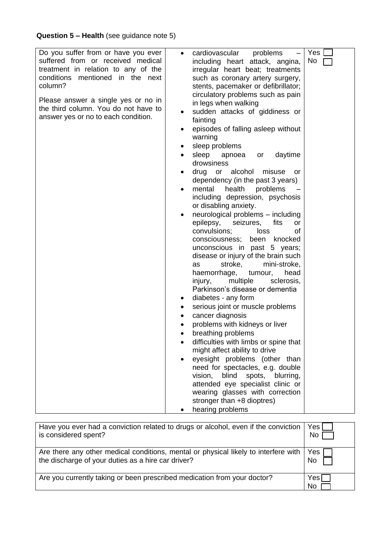| Do you suffer from or have you ever<br>suffered from or received medical<br>treatment in relation to any of the<br>conditions mentioned in the next<br>column?<br>Please answer a single yes or no in<br>the third column. You do not have to<br>answer yes or no to each condition. | cardiovascular problems<br>$\bullet$<br>including heart attack, angina,<br>irregular heart beat; treatments<br>such as coronary artery surgery,<br>stents, pacemaker or defibrillator;<br>circulatory problems such as pain<br>in legs when walking<br>sudden attacks of giddiness or<br>fainting<br>episodes of falling asleep without<br>warning<br>sleep problems<br>٠<br>sleep apnoea<br>daytime<br>or<br>$\bullet$<br>drowsiness<br>drug or alcohol<br>misuse<br>or<br>dependency (in the past 3 years)<br>health<br>mental<br>problems<br>$\bullet$<br>including depression, psychosis<br>or disabling anxiety.<br>neurological problems - including<br>epilepsy, seizures,<br>fits<br><b>or</b><br>convulsions;<br>of<br>loss<br>consciousness;<br>been<br>knocked<br>unconscious in past 5 years;<br>disease or injury of the brain such<br>stroke,<br>mini-stroke,<br>as<br>haemorrhage,<br>tumour,<br>head<br>multiple<br>sclerosis,<br>injury,<br>Parkinson's disease or dementia<br>diabetes - any form<br>serious joint or muscle problems<br>٠<br>cancer diagnosis<br>٠<br>problems with kidneys or liver<br>breathing problems<br>difficulties with limbs or spine that<br>might affect ability to drive<br>eyesight problems (other than<br>need for spectacles, e.g. double<br>blind<br>vision,<br>spots,<br>blurring,<br>attended eye specialist clinic or<br>wearing glasses with correction<br>stronger than +8 dioptres)<br>hearing problems | Yes <sub>l</sub><br>No |
|--------------------------------------------------------------------------------------------------------------------------------------------------------------------------------------------------------------------------------------------------------------------------------------|-------------------------------------------------------------------------------------------------------------------------------------------------------------------------------------------------------------------------------------------------------------------------------------------------------------------------------------------------------------------------------------------------------------------------------------------------------------------------------------------------------------------------------------------------------------------------------------------------------------------------------------------------------------------------------------------------------------------------------------------------------------------------------------------------------------------------------------------------------------------------------------------------------------------------------------------------------------------------------------------------------------------------------------------------------------------------------------------------------------------------------------------------------------------------------------------------------------------------------------------------------------------------------------------------------------------------------------------------------------------------------------------------------------------------------------------------------------------|------------------------|

| Have you ever had a conviction related to drugs or alcohol, even if the conviction   Yes [<br>is considered spent?                                | No         |
|---------------------------------------------------------------------------------------------------------------------------------------------------|------------|
| Are there any other medical conditions, mental or physical likely to interfere with   Yes  <br>the discharge of your duties as a hire car driver? | No         |
| Are you currently taking or been prescribed medication from your doctor?                                                                          | Yes∏<br>No |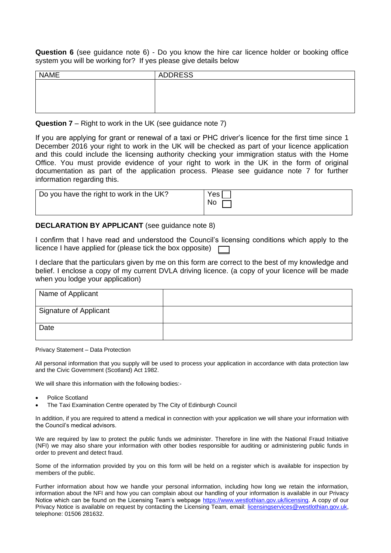**Question 6** (see guidance note 6) - Do you know the hire car licence holder or booking office system you will be working for? If yes please give details below

| $\sim$<br>. .<br>$\tilde{\phantom{a}}$<br>$\sim$ | $\sim$         |
|--------------------------------------------------|----------------|
| <b>NAME</b>                                      | <b>ADDRESS</b> |
|                                                  |                |
|                                                  |                |
|                                                  |                |
|                                                  |                |

**Question 7** – Right to work in the UK (see guidance note 7)

If you are applying for grant or renewal of a taxi or PHC driver's licence for the first time since 1 December 2016 your right to work in the UK will be checked as part of your licence application and this could include the licensing authority checking your immigration status with the Home Office. You must provide evidence of your right to work in the UK in the form of original documentation as part of the application process. Please see guidance note 7 for further information regarding this.

| Do you have the right to work in the UK? | Yes <sub>1</sub><br>No |
|------------------------------------------|------------------------|
|------------------------------------------|------------------------|

## **DECLARATION BY APPLICANT** (see guidance note 8)

I confirm that I have read and understood the Council's licensing conditions which apply to the licence I have applied for (please tick the box opposite)

I declare that the particulars given by me on this form are correct to the best of my knowledge and belief. I enclose a copy of my current DVLA driving licence. (a copy of your licence will be made when you lodge your application)

| Name of Applicant             |  |
|-------------------------------|--|
| <b>Signature of Applicant</b> |  |
| Date                          |  |

Privacy Statement – Data Protection

All personal information that you supply will be used to process your application in accordance with data protection law and the Civic Government (Scotland) Act 1982.

We will share this information with the following bodies:-

- Police Scotland
- The Taxi Examination Centre operated by The City of Edinburgh Council

In addition, if you are required to attend a medical in connection with your application we will share your information with the Council's medical advisors.

We are required by law to protect the public funds we administer. Therefore in line with the National Fraud Initiative (NFI) we may also share your information with other bodies responsible for auditing or administering public funds in order to prevent and detect fraud.

Some of the information provided by you on this form will be held on a register which is available for inspection by members of the public.

Further information about how we handle your personal information, including how long we retain the information, information about the NFI and how you can complain about our handling of your information is available in our Privacy Notice which can be found on the Licensing Team's webpage [https://www.westlothian.gov.uk/licensing.](https://www.westlothian.gov.uk/licensing) A copy of our Privacy Notice is available on request by contacting the Licensing Team, email: [licensingservices@westlothian.gov.uk,](mailto:licensingservices@westlothian.gov.uk) telephone: 01506 281632.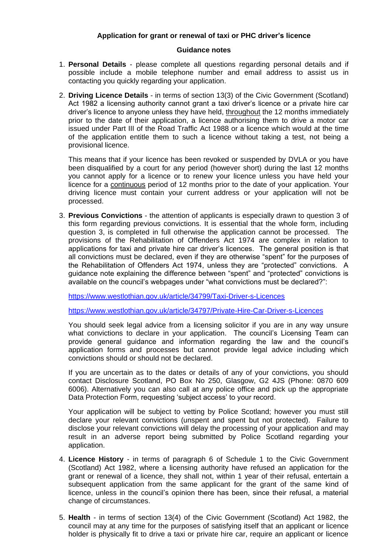## **Application for grant or renewal of taxi or PHC driver's licence**

#### **Guidance notes**

- 1. **Personal Details** please complete all questions regarding personal details and if possible include a mobile telephone number and email address to assist us in contacting you quickly regarding your application.
- 2. **Driving Licence Details** in terms of section 13(3) of the Civic Government (Scotland) Act 1982 a licensing authority cannot grant a taxi driver's licence or a private hire car driver's licence to anyone unless they have held, throughout the 12 months immediately prior to the date of their application, a licence authorising them to drive a motor car issued under Part III of the Road Traffic Act 1988 or a licence which would at the time of the application entitle them to such a licence without taking a test, not being a provisional licence.

This means that if your licence has been revoked or suspended by DVLA or you have been disqualified by a court for any period (however short) during the last 12 months you cannot apply for a licence or to renew your licence unless you have held your licence for a continuous period of 12 months prior to the date of your application. Your driving licence must contain your current address or your application will not be processed.

3. **Previous Convictions** - the attention of applicants is especially drawn to question 3 of this form regarding previous convictions. It is essential that the whole form, including question 3, is completed in full otherwise the application cannot be processed. The provisions of the Rehabilitation of Offenders Act 1974 are complex in relation to applications for taxi and private hire car driver's licences. The general position is that all convictions must be declared, even if they are otherwise "spent" for the purposes of the Rehabilitation of Offenders Act 1974, unless they are "protected" convictions. A guidance note explaining the difference between "spent" and "protected" convictions is available on the council's webpages under "what convictions must be declared?":

<https://www.westlothian.gov.uk/article/34799/Taxi-Driver-s-Licences>

<https://www.westlothian.gov.uk/article/34797/Private-Hire-Car-Driver-s-Licences>

You should seek legal advice from a licensing solicitor if you are in any way unsure what convictions to declare in your application. The council's Licensing Team can provide general guidance and information regarding the law and the council's application forms and processes but cannot provide legal advice including which convictions should or should not be declared.

If you are uncertain as to the dates or details of any of your convictions, you should contact Disclosure Scotland, PO Box No 250, Glasgow, G2 4JS (Phone: 0870 609 6006). Alternatively you can also call at any police office and pick up the appropriate Data Protection Form, requesting 'subject access' to your record.

Your application will be subject to vetting by Police Scotland; however you must still declare your relevant convictions (unspent and spent but not protected). Failure to disclose your relevant convictions will delay the processing of your application and may result in an adverse report being submitted by Police Scotland regarding your application.

- 4. **Licence History** in terms of paragraph 6 of Schedule 1 to the Civic Government (Scotland) Act 1982, where a licensing authority have refused an application for the grant or renewal of a licence, they shall not, within 1 year of their refusal, entertain a subsequent application from the same applicant for the grant of the same kind of licence, unless in the council's opinion there has been, since their refusal, a material change of circumstances.
- 5. **Health** in terms of section 13(4) of the Civic Government (Scotland) Act 1982, the council may at any time for the purposes of satisfying itself that an applicant or licence holder is physically fit to drive a taxi or private hire car, require an applicant or licence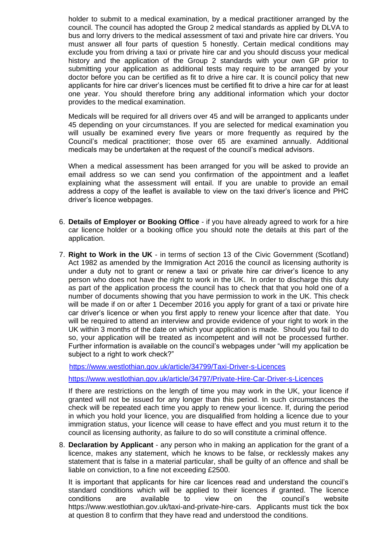holder to submit to a medical examination, by a medical practitioner arranged by the council. The council has adopted the Group 2 medical standards as applied by DLVA to bus and lorry drivers to the medical assessment of taxi and private hire car drivers. You must answer all four parts of question 5 honestly. Certain medical conditions may exclude you from driving a taxi or private hire car and you should discuss your medical history and the application of the Group 2 standards with your own GP prior to submitting your application as additional tests may require to be arranged by your doctor before you can be certified as fit to drive a hire car. It is council policy that new applicants for hire car driver's licences must be certified fit to drive a hire car for at least one year. You should therefore bring any additional information which your doctor provides to the medical examination.

Medicals will be required for all drivers over 45 and will be arranged to applicants under 45 depending on your circumstances. If you are selected for medical examination you will usually be examined every five years or more frequently as required by the Council's medical practitioner; those over 65 are examined annually. Additional medicals may be undertaken at the request of the council's medical advisors.

When a medical assessment has been arranged for you will be asked to provide an email address so we can send you confirmation of the appointment and a leaflet explaining what the assessment will entail. If you are unable to provide an email address a copy of the leaflet is available to view on the taxi driver's licence and PHC driver's licence webpages.

- 6. **Details of Employer or Booking Office** if you have already agreed to work for a hire car licence holder or a booking office you should note the details at this part of the application.
- 7. **Right to Work in the UK** in terms of section 13 of the Civic Government (Scotland) Act 1982 as amended by the Immigration Act 2016 the council as licensing authority is under a duty not to grant or renew a taxi or private hire car driver's licence to any person who does not have the right to work in the UK. In order to discharge this duty as part of the application process the council has to check that that you hold one of a number of documents showing that you have permission to work in the UK. This check will be made if on or after 1 December 2016 you apply for grant of a taxi or private hire car driver's licence or when you first apply to renew your licence after that date. You will be required to attend an interview and provide evidence of your right to work in the UK within 3 months of the date on which your application is made. Should you fail to do so, your application will be treated as incompetent and will not be processed further. Further information is available on the council's webpages under "will my application be subject to a right to work check?"

<https://www.westlothian.gov.uk/article/34799/Taxi-Driver-s-Licences>

<https://www.westlothian.gov.uk/article/34797/Private-Hire-Car-Driver-s-Licences>

If there are restrictions on the length of time you may work in the UK, your licence if granted will not be issued for any longer than this period. In such circumstances the check will be repeated each time you apply to renew your licence. If, during the period in which you hold your licence, you are disqualified from holding a licence due to your immigration status, your licence will cease to have effect and you must return it to the council as licensing authority, as failure to do so will constitute a criminal offence.

8. **Declaration by Applicant** - any person who in making an application for the grant of a licence, makes any statement, which he knows to be false, or recklessly makes any statement that is false in a material particular, shall be guilty of an offence and shall be liable on conviction, to a fine not exceeding £2500.

It is important that applicants for hire car licences read and understand the council's standard conditions which will be applied to their licences if granted. The licence conditions are available to view on the council's website https://www.westlothian.gov.uk/taxi-and-private-hire-cars. Applicants must tick the box at question 8 to confirm that they have read and understood the conditions.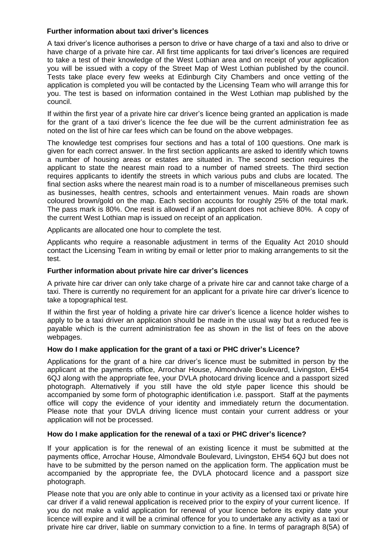## **Further information about taxi driver's licences**

A taxi driver's licence authorises a person to drive or have charge of a taxi and also to drive or have charge of a private hire car. All first time applicants for taxi driver's licences are required to take a test of their knowledge of the West Lothian area and on receipt of your application you will be issued with a copy of the Street Map of West Lothian published by the council. Tests take place every few weeks at Edinburgh City Chambers and once vetting of the application is completed you will be contacted by the Licensing Team who will arrange this for you. The test is based on information contained in the West Lothian map published by the council.

If within the first year of a private hire car driver's licence being granted an application is made for the grant of a taxi driver's licence the fee due will be the current administration fee as noted on the list of hire car fees which can be found on the above webpages.

The knowledge test comprises four sections and has a total of 100 questions. One mark is given for each correct answer. In the first section applicants are asked to identify which towns a number of housing areas or estates are situated in. The second section requires the applicant to state the nearest main road to a number of named streets. The third section requires applicants to identify the streets in which various pubs and clubs are located. The final section asks where the nearest main road is to a number of miscellaneous premises such as businesses, health centres, schools and entertainment venues. Main roads are shown coloured brown/gold on the map. Each section accounts for roughly 25% of the total mark. The pass mark is 80%. One resit is allowed if an applicant does not achieve 80%. A copy of the current West Lothian map is issued on receipt of an application.

Applicants are allocated one hour to complete the test.

Applicants who require a reasonable adjustment in terms of the Equality Act 2010 should contact the Licensing Team in writing by email or letter prior to making arrangements to sit the test.

#### **Further information about private hire car driver's licences**

A private hire car driver can only take charge of a private hire car and cannot take charge of a taxi. There is currently no requirement for an applicant for a private hire car driver's licence to take a topographical test.

If within the first year of holding a private hire car driver's licence a licence holder wishes to apply to be a taxi driver an application should be made in the usual way but a reduced fee is payable which is the current administration fee as shown in the list of fees on the above webpages.

#### **How do I make application for the grant of a taxi or PHC driver's Licence?**

Applications for the grant of a hire car driver's licence must be submitted in person by the applicant at the payments office, Arrochar House, Almondvale Boulevard, Livingston, EH54 6QJ along with the appropriate fee, your DVLA photocard driving licence and a passport sized photograph. Alternatively if you still have the old style paper licence this should be accompanied by some form of photographic identification i.e. passport. Staff at the payments office will copy the evidence of your identity and immediately return the documentation. Please note that your DVLA driving licence must contain your current address or your application will not be processed.

#### **How do I make application for the renewal of a taxi or PHC driver's licence?**

If your application is for the renewal of an existing licence it must be submitted at the payments office, Arrochar House, Almondvale Boulevard, Livingston, EH54 6QJ but does not have to be submitted by the person named on the application form. The application must be accompanied by the appropriate fee, the DVLA photocard licence and a passport size photograph.

Please note that you are only able to continue in your activity as a licensed taxi or private hire car driver if a valid renewal application is received prior to the expiry of your current licence. If you do not make a valid application for renewal of your licence before its expiry date your licence will expire and it will be a criminal offence for you to undertake any activity as a taxi or private hire car driver, liable on summary conviction to a fine. In terms of paragraph 8(5A) of